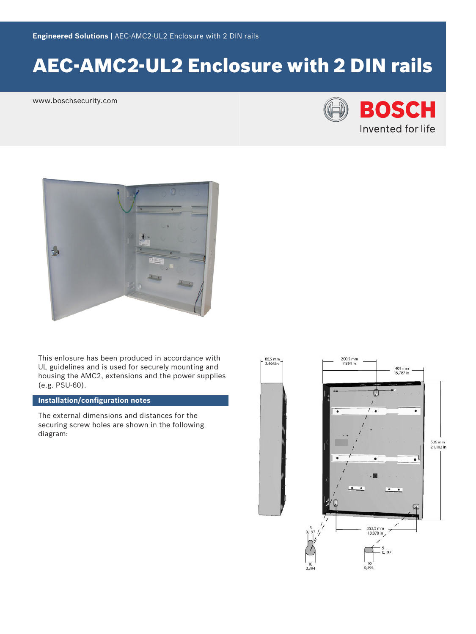# AEC-AMC2-UL2 Enclosure with 2 DIN rails

www.boschsecurity.com





This enlosure has been produced in accordance with UL guidelines and is used for securely mounting and housing the AMC2, extensions and the power supplies (e.g. PSU-60).

## **Installation/configuration notes**

The external dimensions and distances for the securing screw holes are shown in the following diagram: